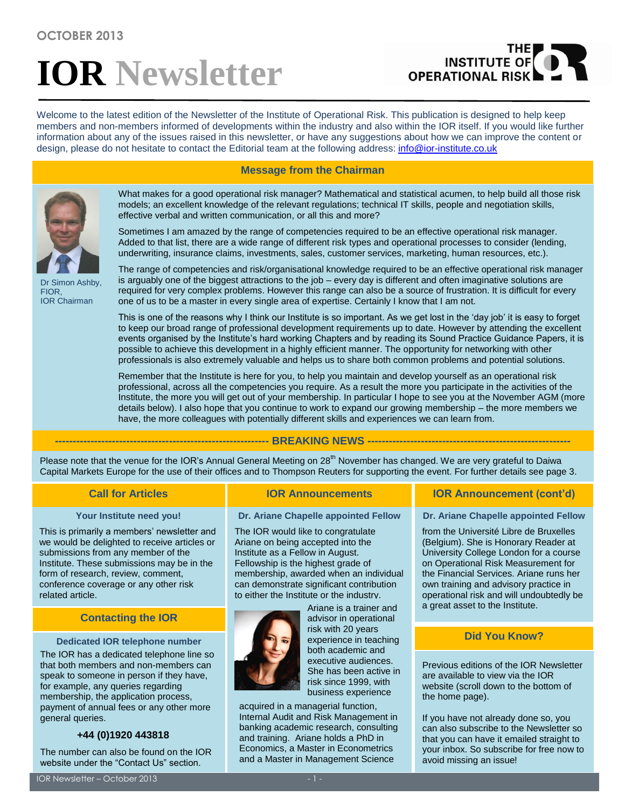# **IOR Newsletter**

# THE<br>INSTITUTE OF **OPERATIONAL RISK**

Welcome to the latest edition of the Newsletter of the Institute of Operational Risk. This publication is designed to help keep members and non-members informed of developments within the industry and also within the IOR itself. If you would like further information about any of the issues raised in this newsletter, or have any suggestions about how we can improve the content or design, please do not hesitate to contact the Editorial team at the following address: [info@ior-institute.co.uk](mailto:info@ior-institute.co.uk)





Dr Simon Ashby, FIOR, IOR Chairman

What makes for a good operational risk manager? Mathematical and statistical acumen, to help build all those risk models; an excellent knowledge of the relevant regulations; technical IT skills, people and negotiation skills, effective verbal and written communication, or all this and more?

Sometimes I am amazed by the range of competencies required to be an effective operational risk manager. Added to that list, there are a wide range of different risk types and operational processes to consider (lending, underwriting, insurance claims, investments, sales, customer services, marketing, human resources, etc.).

The range of competencies and risk/organisational knowledge required to be an effective operational risk manager is arguably one of the biggest attractions to the job – every day is different and often imaginative solutions are required for very complex problems. However this range can also be a source of frustration. It is difficult for every one of us to be a master in every single area of expertise. Certainly I know that I am not.

This is one of the reasons why I think our Institute is so important. As we get lost in the 'day job' it is easy to forget to keep our broad range of professional development requirements up to date. However by attending the excellent events organised by the Institute's hard working Chapters and by reading its Sound Practice Guidance Papers, it is possible to achieve this development in a highly efficient manner. The opportunity for networking with other professionals is also extremely valuable and helps us to share both common problems and potential solutions.

Remember that the Institute is here for you, to help you maintain and develop yourself as an operational risk professional, across all the competencies you require. As a result the more you participate in the activities of the Institute, the more you will get out of your membership. In particular I hope to see you at the November AGM (more details below). I also hope that you continue to work to expand our growing membership – the more members we have, the more colleagues with potentially different skills and experiences we can learn from.

# **------------------------------------------------------------ BREAKING NEWS ---------------------------------------------------------**

Please note that the venue for the IOR's Annual General Meeting on 28<sup>th</sup> November has changed. We are very grateful to Daiwa Capital Markets Europe for the use of their offices and to Thompson Reuters for supporting the event. For further details see page 3.

# **Your Institute need you!**

This is primarily a members' newsletter and we would be delighted to receive articles or submissions from any member of the Institute. These submissions may be in the form of research, review, comment, conference coverage or any other risk related article.

# **Contacting the IOR**

# **Dedicated IOR telephone number**

The IOR has a dedicated telephone line so that both members and non-members can speak to someone in person if they have, for example, any queries regarding membership, the application process, payment of annual fees or any other more general queries.

# **+44 (0)1920 443818**

The number can also be found on the IOR website under the "Contact Us" section.

# **Dr. Ariane Chapelle appointed Fellow**

The IOR would like to congratulate Ariane on being accepted into the Institute as a Fellow in August. Fellowship is the highest grade of membership, awarded when an individual can demonstrate significant contribution to either the Institute or the industry.



Ariane is a trainer and advisor in operational risk with 20 years experience in teaching both academic and executive audiences. She has been active in risk since 1999, with business experience

acquired in a managerial function, Internal Audit and Risk Management in banking academic research, consulting and training. Ariane holds a PhD in Economics, a Master in Econometrics and a Master in Management Science

# **Call for Articles IOR Announcements IOR Announcement (cont'd)**

**Dr. Ariane Chapelle appointed Fellow**

from the Université Libre de Bruxelles (Belgium). She is Honorary Reader at University College London for a course on Operational Risk Measurement for the Financial Services. Ariane runs her own training and advisory practice in operational risk and will undoubtedly be a great asset to the Institute.

# **Did You Know?**

Previous editions of the IOR Newsletter are available to view via the IOR website (scroll down to the bottom of the home page).

If you have not already done so, you can also subscribe to the Newsletter so that you can have it emailed straight to your inbox. So subscribe for free now to avoid missing an issue!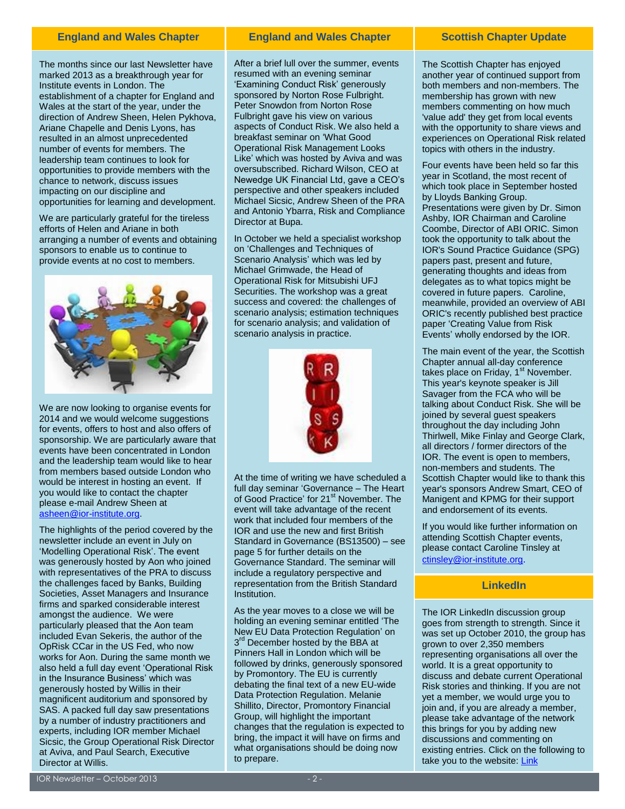The months since our last Newsletter have marked 2013 as a breakthrough year for Institute events in London. The establishment of a chapter for England and Wales at the start of the year, under the direction of Andrew Sheen, Helen Pykhova, Ariane Chapelle and Denis Lyons, has resulted in an almost unprecedented number of events for members. The leadership team continues to look for opportunities to provide members with the chance to network, discuss issues impacting on our discipline and opportunities for learning and development.

We are particularly grateful for the tireless efforts of Helen and Ariane in both arranging a number of events and obtaining sponsors to enable us to continue to provide events at no cost to members.



We are now looking to organise events for 2014 and we would welcome suggestions for events, offers to host and also offers of sponsorship. We are particularly aware that events have been concentrated in London and the leadership team would like to hear from members based outside London who would be interest in hosting an event. If you would like to contact the chapter please e-mail Andrew Sheen at [asheen@ior-institute.org.](mailto:asheen@ior-institute.org)

The highlights of the period covered by the newsletter include an event in July on 'Modelling Operational Risk'. The event was generously hosted by Aon who joined with representatives of the PRA to discuss the challenges faced by Banks, Building Societies, Asset Managers and Insurance firms and sparked considerable interest amongst the audience. We were particularly pleased that the Aon team included Evan Sekeris, the author of the OpRisk CCar in the US Fed, who now works for Aon. During the same month we also held a full day event 'Operational Risk in the Insurance Business' which was generously hosted by Willis in their magnificent auditorium and sponsored by SAS. A packed full day saw presentations by a number of industry practitioners and experts, including IOR member Michael Sicsic, the Group Operational Risk Director at Aviva, and Paul Search, Executive Director at Willis.

# **England and Wales Chapter Chapter Accepted And Wales Chapter Chapter I Scottish Chapter Update**

After a brief lull over the summer, events resumed with an evening seminar 'Examining Conduct Risk' generously sponsored by Norton Rose Fulbright. Peter Snowdon from Norton Rose Fulbright gave his view on various aspects of Conduct Risk. We also held a breakfast seminar on 'What Good Operational Risk Management Looks Like' which was hosted by Aviva and was oversubscribed. Richard Wilson, CEO at Newedge UK Financial Ltd, gave a CEO's perspective and other speakers included Michael Sicsic, Andrew Sheen of the PRA and Antonio Ybarra, Risk and Compliance Director at Bupa.

In October we held a specialist workshop on 'Challenges and Techniques of Scenario Analysis' which was led by Michael Grimwade, the Head of Operational Risk for Mitsubishi UFJ Securities. The workshop was a great success and covered: the challenges of scenario analysis; estimation techniques for scenario analysis; and validation of scenario analysis in practice.



At the time of writing we have scheduled a full day seminar 'Governance – The Heart of Good Practice' for 21<sup>st</sup> November. The event will take advantage of the recent work that included four members of the IOR and use the new and first British Standard in Governance (BS13500) – see page 5 for further details on the Governance Standard. The seminar will include a regulatory perspective and representation from the British Standard Institution.

As the year moves to a close we will be holding an evening seminar entitled 'The New EU Data Protection Regulation' on 3<sup>rd</sup> December hosted by the BBA at Pinners Hall in London which will be followed by drinks, generously sponsored by Promontory. The EU is currently debating the final text of a new EU-wide Data Protection Regulation. Melanie Shillito, Director, Promontory Financial Group, will highlight the important changes that the regulation is expected to bring, the impact it will have on firms and what organisations should be doing now to prepare.

The Scottish Chapter has enjoyed another year of continued support from both members and non-members. The membership has grown with new members commenting on how much 'value add' they get from local events with the opportunity to share views and experiences on Operational Risk related topics with others in the industry.

Four events have been held so far this year in Scotland, the most recent of which took place in September hosted by Lloyds Banking Group. Presentations were given by Dr. Simon Ashby, IOR Chairman and Caroline Coombe, Director of ABI ORIC. Simon took the opportunity to talk about the IOR's Sound Practice Guidance (SPG) papers past, present and future, generating thoughts and ideas from delegates as to what topics might be covered in future papers. Caroline, meanwhile, provided an overview of ABI ORIC's recently published best practice paper 'Creating Value from Risk Events' wholly endorsed by the IOR.

The main event of the year, the Scottish Chapter annual all-day conference takes place on Friday, 1<sup>st</sup> November. This year's keynote speaker is Jill Savager from the FCA who will be talking about Conduct Risk. She will be joined by several guest speakers throughout the day including John Thirlwell, Mike Finlay and George Clark, all directors / former directors of the IOR. The event is open to members, non-members and students. The Scottish Chapter would like to thank this year's sponsors Andrew Smart, CEO of Manigent and KPMG for their support and endorsement of its events.

If you would like further information on attending Scottish Chapter events, please contact Caroline Tinsley at [ctinsley@ior-institute.org](mailto:ctinsley@ior-institute.org).

# **LinkedIn**

The IOR LinkedIn discussion group goes from strength to strength. Since it was set up October 2010, the group has grown to over 2,350 members representing organisations all over the world. It is a great opportunity to discuss and debate current Operational Risk stories and thinking. If you are not yet a member, we would urge you to join and, if you are already a member, please take advantage of the network this brings for you by adding new discussions and commenting on existing entries. Click on the following to take you to the website[: Link](http://www.linkedin.com/groups?gid=3511716)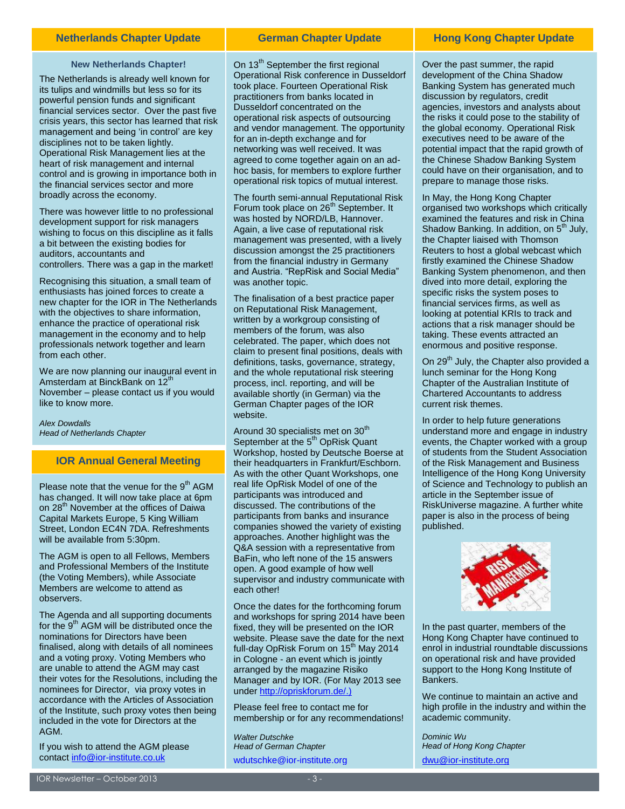# **Netherlands Chapter Update German Chapter Update Hong Kong Chapter Update**

## **New Netherlands Chapter!**

The Netherlands is already well known for its tulips and windmills but less so for its powerful pension funds and significant financial services sector. Over the past five crisis years, this sector has learned that risk management and being 'in control' are key disciplines not to be taken lightly. Operational Risk Management lies at the heart of risk management and internal control and is growing in importance both in the financial services sector and more broadly across the economy.

There was however little to no professional development support for risk managers wishing to focus on this discipline as it falls a bit between the existing bodies for auditors, accountants and controllers. There was a gap in the market!

Recognising this situation, a small team of enthusiasts has joined forces to create a new chapter for the IOR in The Netherlands with the objectives to share information, enhance the practice of operational risk management in the economy and to help professionals network together and learn from each other.

We are now planning our inaugural event in Amsterdam at BinckBank on 12<sup>th</sup> November – please contact us if you would like to know more.

*Alex Dowdalls Head of Netherlands Chapter* [adowdalls@ior-institute.org](mailto:adowdalls@ior-institute.org)

# **IOR Annual General Meeting**

Please note that the venue for the  $9<sup>th</sup>$  AGM has changed. It will now take place at 6pm on 28<sup>th</sup> November at the offices of Daiwa Capital Markets Europe, 5 King William Street, London EC4N 7DA. Refreshments will be available from 5:30pm.

The AGM is open to all Fellows, Members and Professional Members of the Institute (the Voting Members), while Associate Members are welcome to attend as observers.

The Agenda and all supporting documents for the  $9<sup>th</sup>$  AGM will be distributed once the nominations for Directors have been finalised, along with details of all nominees and a voting proxy. Voting Members who are unable to attend the AGM may cast their votes for the Resolutions, including the nominees for Director, via proxy votes in accordance with the Articles of Association of the Institute, such proxy votes then being included in the vote for Directors at the AGM.

If you wish to attend the AGM please contact [info@ior-institute.co.uk](mailto:info@ior-institute.co.uk)

On 13<sup>th</sup> September the first regional Operational Risk conference in Dusseldorf took place. Fourteen Operational Risk practitioners from banks located in Dusseldorf concentrated on the operational risk aspects of outsourcing and vendor management. The opportunity for an in-depth exchange and for networking was well received. It was agreed to come together again on an adhoc basis, for members to explore further operational risk topics of mutual interest.

The fourth semi-annual Reputational Risk Forum took place on 26<sup>th</sup> September. It was hosted by NORD/LB, Hannover. Again, a live case of reputational risk management was presented, with a lively discussion amongst the 25 practitioners from the financial industry in Germany and Austria. "RepRisk and Social Media" was another topic.

The finalisation of a best practice paper on Reputational Risk Management, written by a workgroup consisting of members of the forum, was also celebrated. The paper, which does not claim to present final positions, deals with definitions, tasks, governance, strategy, and the whole reputational risk steering process, incl. reporting, and will be available shortly (in German) via the German Chapter pages of the IOR website.

Around 30 specialists met on  $30<sup>th</sup>$ September at the 5<sup>th</sup> OpRisk Quant Workshop, hosted by Deutsche Boerse at their headquarters in Frankfurt/Eschborn. As with the other Quant Workshops, one real life OpRisk Model of one of the participants was introduced and discussed. The contributions of the participants from banks and insurance companies showed the variety of existing approaches. Another highlight was the Q&A session with a representative from BaFin, who left none of the 15 answers open. A good example of how well supervisor and industry communicate with each other!

Once the dates for the forthcoming forum and workshops for spring 2014 have been fixed, they will be presented on the IOR website. Please save the date for the next full-day OpRisk Forum on  $15<sup>th</sup>$  May 2014 in Cologne - an event which is jointly arranged by the magazine Risiko Manager and by IOR. (For May 2013 see unde[r http://opriskforum.de/.](http://opriskforum.de/))

Please feel free to contact me for membership or for any recommendations!

*Walter Dutschke Head of German Chapter* [wdutschke@ior-institute.org](mailto:wdutschke@ior-institute.org)

Over the past summer, the rapid development of the China Shadow Banking System has generated much discussion by regulators, credit agencies, investors and analysts about the risks it could pose to the stability of the global economy. Operational Risk executives need to be aware of the potential impact that the rapid growth of the Chinese Shadow Banking System could have on their organisation, and to prepare to manage those risks.

In May, the Hong Kong Chapter organised two workshops which critically examined the features and risk in China Shadow Banking. In addition, on  $5<sup>th</sup>$  July, the Chapter liaised with Thomson Reuters to host a global webcast which firstly examined the Chinese Shadow Banking System phenomenon, and then dived into more detail, exploring the specific risks the system poses to financial services firms, as well as looking at potential KRIs to track and actions that a risk manager should be taking. These events attracted an enormous and positive response.

On 29<sup>th</sup> July, the Chapter also provided a lunch seminar for the Hong Kong Chapter of the Australian Institute of Chartered Accountants to address current risk themes.

In order to help future generations understand more and engage in industry events, the Chapter worked with a group of students from the Student Association of the Risk Management and Business Intelligence of the Hong Kong University of Science and Technology to publish an article in the September issue of RiskUniverse magazine. A further white paper is also in the process of being published.



In the past quarter, members of the Hong Kong Chapter have continued to enrol in industrial roundtable discussions on operational risk and have provided support to the Hong Kong Institute of Bankers.

We continue to maintain an active and high profile in the industry and within the academic community.

*Dominic Wu Head of Hong Kong Chapter* [dwu@ior-institute.org](mailto:dwu@ior-institute.org)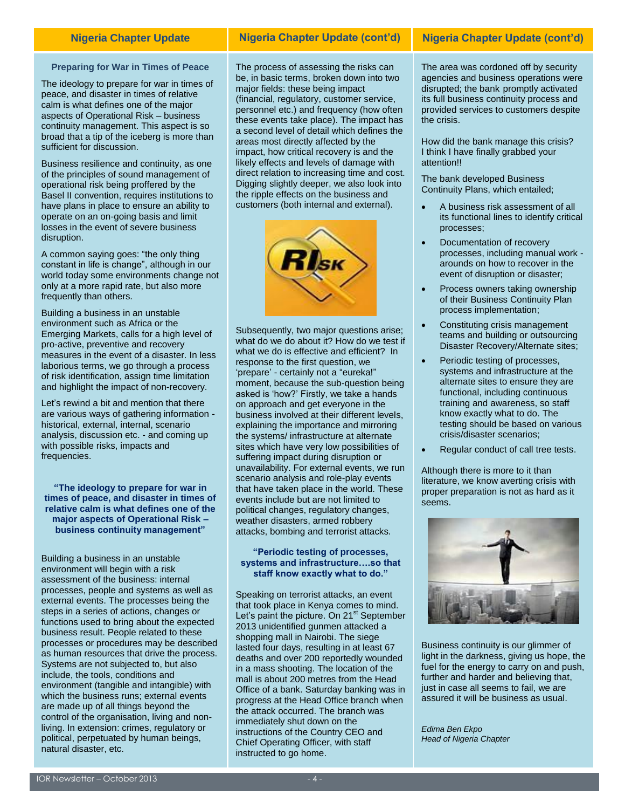### **Preparing for War in Times of Peace**

The ideology to prepare for war in times of peace, and disaster in times of relative calm is what defines one of the major aspects of Operational Risk – business continuity management. This aspect is so broad that a tip of the iceberg is more than sufficient for discussion.

Business resilience and continuity, as one of the principles of sound management of operational risk being proffered by the Basel II convention, requires institutions to have plans in place to ensure an ability to operate on an on-going basis and limit losses in the event of severe business disruption.

A common saying goes: "the only thing constant in life is change", although in our world today some environments change not only at a more rapid rate, but also more frequently than others.

Building a business in an unstable environment such as Africa or the Emerging Markets, calls for a high level of pro-active, preventive and recovery measures in the event of a disaster. In less laborious terms, we go through a process of risk identification, assign time limitation and highlight the impact of non-recovery.

Let's rewind a bit and mention that there are various ways of gathering information historical, external, internal, scenario analysis, discussion etc. - and coming up with possible risks, impacts and frequencies.

**"The ideology to prepare for war in times of peace, and disaster in times of relative calm is what defines one of the major aspects of Operational Risk – business continuity management"**

Building a business in an unstable environment will begin with a risk assessment of the business: internal processes, people and systems as well as external events. The processes being the steps in a series of actions, changes or functions used to bring about the expected business result. People related to these processes or procedures may be described as human resources that drive the process. Systems are not subjected to, but also include, the tools, conditions and environment (tangible and intangible) with which the business runs; external events are made up of all things beyond the control of the organisation, living and nonliving. In extension: crimes, regulatory or political, perpetuated by human beings, natural disaster, etc.

# **Nigeria Chapter Update Nigeria Chapter Update (cont'd) Nigeria Chapter Update (cont'd)**

The process of assessing the risks can be, in basic terms, broken down into two major fields: these being impact (financial, regulatory, customer service, personnel etc.) and frequency (how often these events take place). The impact has a second level of detail which defines the areas most directly affected by the impact, how critical recovery is and the likely effects and levels of damage with direct relation to increasing time and cost. Digging slightly deeper, we also look into the ripple effects on the business and customers (both internal and external).



Subsequently, two major questions arise; what do we do about it? How do we test if what we do is effective and efficient? In response to the first question, we 'prepare' - certainly not a "eureka!" moment, because the sub-question being asked is 'how?' Firstly, we take a hands on approach and get everyone in the business involved at their different levels, explaining the importance and mirroring the systems/ infrastructure at alternate sites which have very low possibilities of suffering impact during disruption or unavailability. For external events, we run scenario analysis and role-play events that have taken place in the world. These events include but are not limited to political changes, regulatory changes, weather disasters, armed robbery attacks, bombing and terrorist attacks.

# **"Periodic testing of processes, systems and infrastructure….so that staff know exactly what to do."**

Speaking on terrorist attacks, an event that took place in Kenya comes to mind. Let's paint the picture. On  $21<sup>st</sup>$  September 2013 unidentified gunmen attacked a shopping mall in Nairobi. The siege lasted four days, resulting in at least 67 deaths and over 200 reportedly wounded in a mass shooting. The location of the mall is about 200 metres from the Head Office of a bank. Saturday banking was in progress at the Head Office branch when the attack occurred. The branch was immediately shut down on the instructions of the Country CEO and Chief Operating Officer, with staff instructed to go home.

The area was cordoned off by security agencies and business operations were disrupted; the bank promptly activated its full business continuity process and provided services to customers despite the crisis.

How did the bank manage this crisis? I think I have finally grabbed your attention!!

The bank developed Business Continuity Plans, which entailed;

- A business risk assessment of all its functional lines to identify critical processes;
- Documentation of recovery processes, including manual work arounds on how to recover in the event of disruption or disaster;
- Process owners taking ownership of their Business Continuity Plan process implementation;
- Constituting crisis management teams and building or outsourcing Disaster Recovery/Alternate sites;
- Periodic testing of processes, systems and infrastructure at the alternate sites to ensure they are functional, including continuous training and awareness, so staff know exactly what to do. The testing should be based on various crisis/disaster scenarios;
- Regular conduct of call tree tests.

Although there is more to it than literature, we know averting crisis with proper preparation is not as hard as it seems.



Business continuity is our glimmer of light in the darkness, giving us hope, the fuel for the energy to carry on and push, further and harder and believing that, just in case all seems to fail, we are assured it will be business as usual.

*Edima Ben Ekpo Head of Nigeria Chapter*